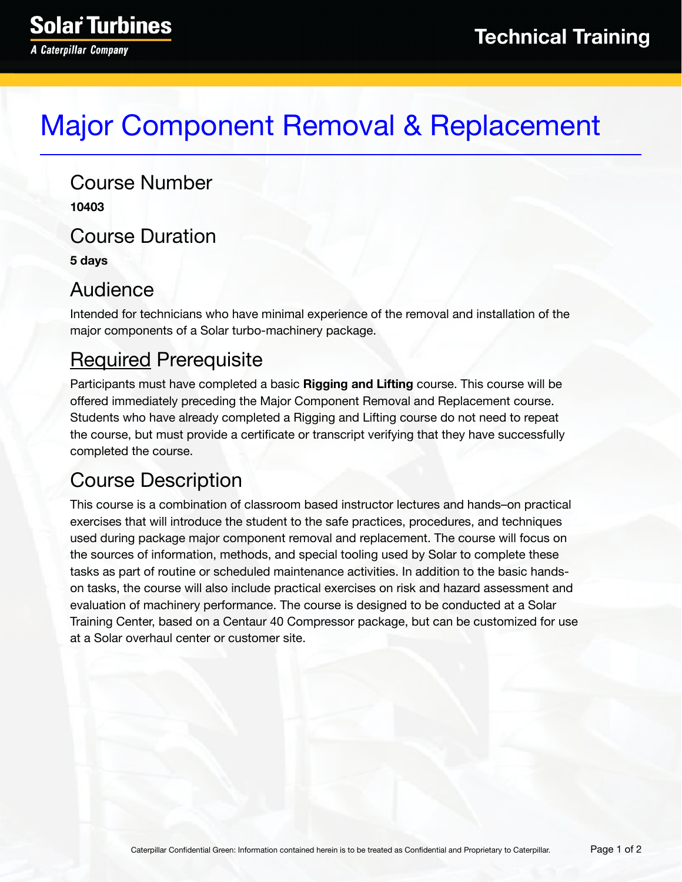# Major Component Removal & Replacement

Course Number **10403** Course Duration **5 days**

#### Audience

Intended for technicians who have minimal experience of the removal and installation of the major components of a Solar turbo-machinery package.

### Required Prerequisite

Participants must have completed a basic **Rigging and Lifting** course. This course will be offered immediately preceding the Major Component Removal and Replacement course. Students who have already completed a Rigging and Lifting course do not need to repeat the course, but must provide a certificate or transcript verifying that they have successfully completed the course.

### Course Description

This course is a combination of classroom based instructor lectures and hands–on practical exercises that will introduce the student to the safe practices, procedures, and techniques used during package major component removal and replacement. The course will focus on the sources of information, methods, and special tooling used by Solar to complete these tasks as part of routine or scheduled maintenance activities. In addition to the basic handson tasks, the course will also include practical exercises on risk and hazard assessment and evaluation of machinery performance. The course is designed to be conducted at a Solar Training Center, based on a Centaur 40 Compressor package, but can be customized for use at a Solar overhaul center or customer site.